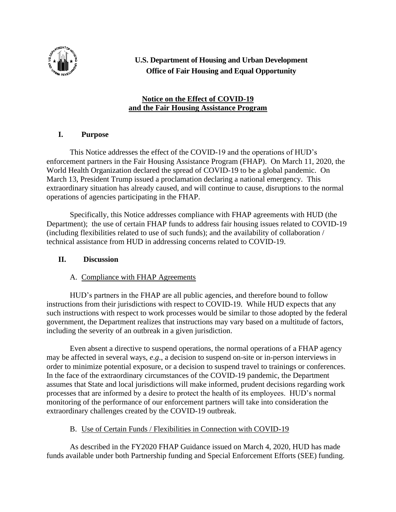

# **U.S. Department of Housing and Urban Development Office of Fair Housing and Equal Opportunity**

## **Notice on the Effect of COVID-19 and the Fair Housing Assistance Program**

# **I. Purpose**

This Notice addresses the effect of the COVID-19 and the operations of HUD's enforcement partners in the Fair Housing Assistance Program (FHAP). On March 11, 2020, the World Health Organization declared the spread of COVID-19 to be a global pandemic. On March 13, President Trump issued a proclamation declaring a national emergency. This extraordinary situation has already caused, and will continue to cause, disruptions to the normal operations of agencies participating in the FHAP.

Specifically, this Notice addresses compliance with FHAP agreements with HUD (the Department); the use of certain FHAP funds to address fair housing issues related to COVID-19 (including flexibilities related to use of such funds); and the availability of collaboration / technical assistance from HUD in addressing concerns related to COVID-19.

### **II. Discussion**

### A. Compliance with FHAP Agreements

HUD's partners in the FHAP are all public agencies, and therefore bound to follow instructions from their jurisdictions with respect to COVID-19. While HUD expects that any such instructions with respect to work processes would be similar to those adopted by the federal government, the Department realizes that instructions may vary based on a multitude of factors, including the severity of an outbreak in a given jurisdiction.

Even absent a directive to suspend operations, the normal operations of a FHAP agency may be affected in several ways, *e*.*g*., a decision to suspend on-site or in-person interviews in order to minimize potential exposure, or a decision to suspend travel to trainings or conferences. In the face of the extraordinary circumstances of the COVID-19 pandemic, the Department assumes that State and local jurisdictions will make informed, prudent decisions regarding work processes that are informed by a desire to protect the health of its employees. HUD's normal monitoring of the performance of our enforcement partners will take into consideration the extraordinary challenges created by the COVID-19 outbreak.

### B. Use of Certain Funds / Flexibilities in Connection with COVID-19

As described in the FY2020 FHAP Guidance issued on March 4, 2020, HUD has made funds available under both Partnership funding and Special Enforcement Efforts (SEE) funding.